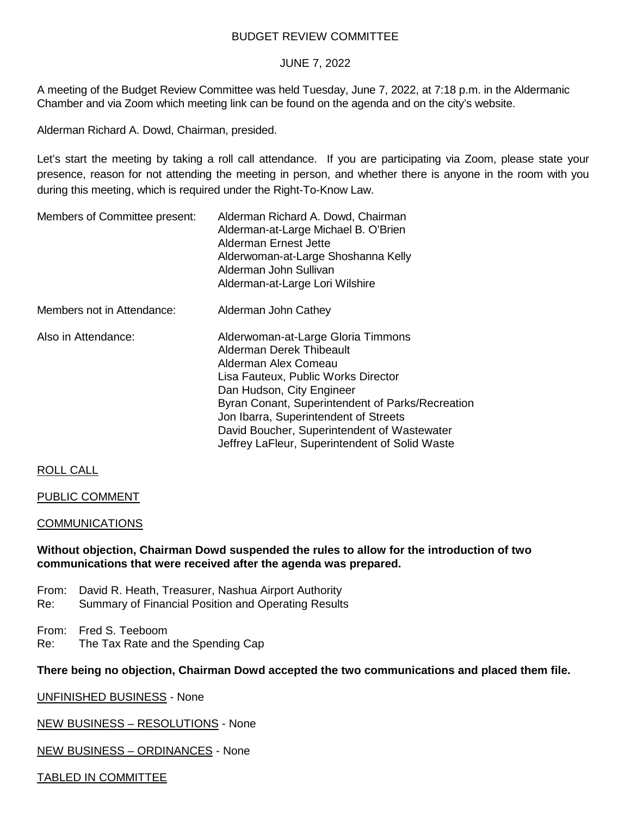## BUDGET REVIEW COMMITTEE

### JUNE 7, 2022

A meeting of the Budget Review Committee was held Tuesday, June 7, 2022, at 7:18 p.m. in the Aldermanic Chamber and via Zoom which meeting link can be found on the agenda and on the city's website.

Alderman Richard A. Dowd, Chairman, presided.

Let's start the meeting by taking a roll call attendance. If you are participating via Zoom, please state your presence, reason for not attending the meeting in person, and whether there is anyone in the room with you during this meeting, which is required under the Right-To-Know Law.

| Members of Committee present: | Alderman Richard A. Dowd, Chairman<br>Alderman-at-Large Michael B. O'Brien<br>Alderman Ernest Jette<br>Alderwoman-at-Large Shoshanna Kelly<br>Alderman John Sullivan<br>Alderman-at-Large Lori Wilshire                                                                                                                                                  |  |
|-------------------------------|----------------------------------------------------------------------------------------------------------------------------------------------------------------------------------------------------------------------------------------------------------------------------------------------------------------------------------------------------------|--|
| Members not in Attendance:    | Alderman John Cathey                                                                                                                                                                                                                                                                                                                                     |  |
| Also in Attendance:           | Alderwoman-at-Large Gloria Timmons<br>Alderman Derek Thibeault<br>Alderman Alex Comeau<br>Lisa Fauteux, Public Works Director<br>Dan Hudson, City Engineer<br>Byran Conant, Superintendent of Parks/Recreation<br>Jon Ibarra, Superintendent of Streets<br>David Boucher, Superintendent of Wastewater<br>Jeffrey LaFleur, Superintendent of Solid Waste |  |

## ROLL CALL

### PUBLIC COMMENT

### COMMUNICATIONS

### **Without objection, Chairman Dowd suspended the rules to allow for the introduction of two communications that were received after the agenda was prepared.**

- From: David R. Heath, Treasurer, Nashua Airport Authority
- Re: Summary of Financial Position and Operating Results

From: Fred S. Teeboom

Re: The Tax Rate and the Spending Cap

### **There being no objection, Chairman Dowd accepted the two communications and placed them file.**

UNFINISHED BUSINESS - None

NEW BUSINESS – RESOLUTIONS - None

NEW BUSINESS – ORDINANCES - None

### TABLED IN COMMITTEE